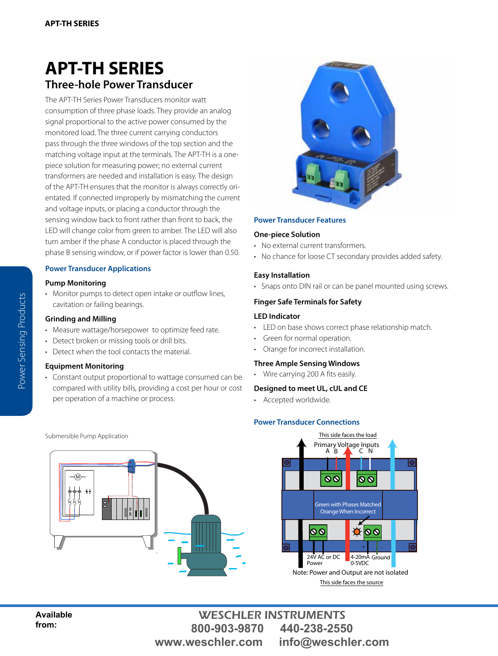# **[APT-TH SERIES](http://www.nktechnologies.com/voltage-transducers/vtd-dc-voltage-transducers.html) Three-hole Power Transducer**

The APT-TH Series Power Transducers monitor watt consumption of three phase loads. They provide an analog signal proportional to the active power consumed by the monitored load. The three current carrying conductors pass through the three windows of the top section and the matching voltage input at the terminals. The APT-TH is a onepiece solution for measuring power; no external current transformers are needed and installation is easy. The design of the APT-TH ensures that the monitor is always correctly orientated. If connected improperly by mismatching the current and voltage inputs, or placing a conductor through the sensing window back to front rather than front to back, the LED will change color from green to amber. The LED will also turn amber if the phase A conductor is placed through the phase B sensing window, or if power factor is lower than 0.50.

# **Power Transducer Applications**

#### **Pump Monitoring**

• Monitor pumps to detect open intake or outflow lines, cavitation or failing bearings.

# **Grinding and Milling**

- Measure wattage/horsepower to optimize feed rate.
- Detect broken or missing tools or drill bits.
- Detect when the tool contacts the material.

#### **Equipment Monitoring**

• Constant output proportional to wattage consumed can be compared with utility bills, providing a cost per hour or cost per operation of a machine or process.



#### **Power Transducer Features**

#### **One-piece Solution**

- No external current transformers.
- No chance for loose CT secondary provides added safety.

# **Easy Installation**

• Snaps onto DIN rail or can be panel mounted using screws.

# **Finger Safe Terminals for Safety**

#### **LED Indicator**

- LED on base shows correct phase relationship match.
- Green for normal operation.
- Orange for incorrect installation.

#### **Three Ample Sensing Windows**

• Wire carrying 200 A fits easily.

# **Designed to meet UL, cUL and CE**

• Accepted worldwide.

# **Power Transducer Connections**





WESCHLER INSTRUMENTS **800-903-9870 440-238-2550 www.weschler.com info@weschler.com**